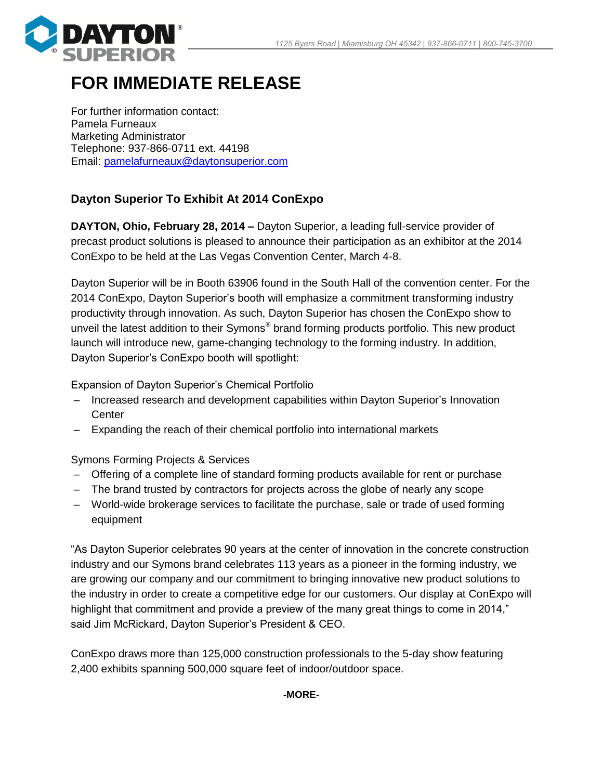

## **FOR IMMEDIATE RELEASE**

For further information contact: Pamela Furneaux Marketing Administrator Telephone: 937-866-0711 ext. 44198 Email: [pamelafurneaux@daytonsuperior.com](mailto:pamelafurneaux@daytonsuperior.com)

## **Dayton Superior To Exhibit At 2014 ConExpo**

**DAYTON, Ohio, February 28, 2014 –** Dayton Superior, a leading full-service provider of precast product solutions is pleased to announce their participation as an exhibitor at the 2014 ConExpo to be held at the Las Vegas Convention Center, March 4-8.

Dayton Superior will be in Booth 63906 found in the South Hall of the convention center. For the 2014 ConExpo, Dayton Superior's booth will emphasize a commitment transforming industry productivity through innovation. As such, Dayton Superior has chosen the ConExpo show to unveil the latest addition to their Symons® brand forming products portfolio. This new product launch will introduce new, game-changing technology to the forming industry. In addition, Dayton Superior's ConExpo booth will spotlight:

Expansion of Dayton Superior's Chemical Portfolio

- Increased research and development capabilities within Dayton Superior's Innovation **Center**
- Expanding the reach of their chemical portfolio into international markets

Symons Forming Projects & Services

- Offering of a complete line of standard forming products available for rent or purchase
- The brand trusted by contractors for projects across the globe of nearly any scope
- World-wide brokerage services to facilitate the purchase, sale or trade of used forming equipment

"As Dayton Superior celebrates 90 years at the center of innovation in the concrete construction industry and our Symons brand celebrates 113 years as a pioneer in the forming industry, we are growing our company and our commitment to bringing innovative new product solutions to the industry in order to create a competitive edge for our customers. Our display at ConExpo will highlight that commitment and provide a preview of the many great things to come in 2014," said Jim McRickard, Dayton Superior's President & CEO.

ConExpo draws more than 125,000 construction professionals to the 5-day show featuring 2,400 exhibits spanning 500,000 square feet of indoor/outdoor space.

**-MORE-**